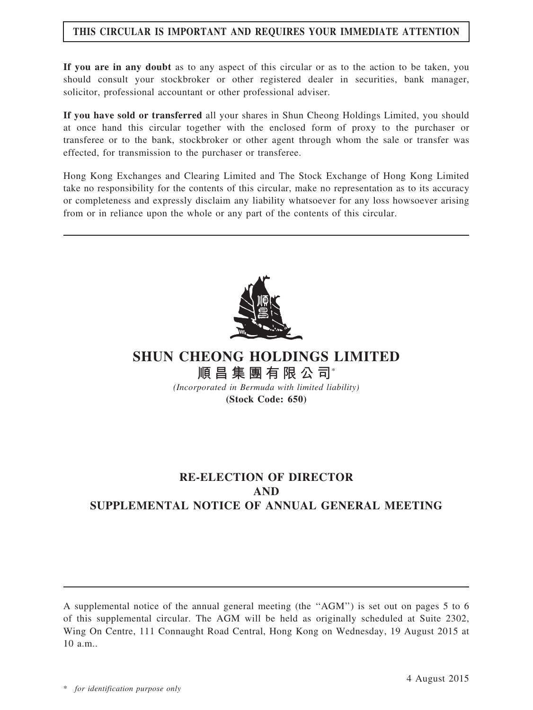## THIS CIRCULAR IS IMPORTANT AND REQUIRES YOUR IMMEDIATE ATTENTION

If you are in any doubt as to any aspect of this circular or as to the action to be taken, you should consult your stockbroker or other registered dealer in securities, bank manager, solicitor, professional accountant or other professional adviser.

If you have sold or transferred all your shares in Shun Cheong Holdings Limited, you should at once hand this circular together with the enclosed form of proxy to the purchaser or transferee or to the bank, stockbroker or other agent through whom the sale or transfer was effected, for transmission to the purchaser or transferee.

Hong Kong Exchanges and Clearing Limited and The Stock Exchange of Hong Kong Limited take no responsibility for the contents of this circular, make no representation as to its accuracy or completeness and expressly disclaim any liability whatsoever for any loss howsoever arising from or in reliance upon the whole or any part of the contents of this circular.



SHUN CHEONG HOLDINGS LIMITED 順昌集團有限公司\*

(Incorporated in Bermuda with limited liability) (Stock Code: 650)

# RE-ELECTION OF DIRECTOR AND SUPPLEMENTAL NOTICE OF ANNUAL GENERAL MEETING

A supplemental notice of the annual general meeting (the ''AGM'') is set out on pages 5 to 6 of this supplemental circular. The AGM will be held as originally scheduled at Suite 2302, Wing On Centre, 111 Connaught Road Central, Hong Kong on Wednesday, 19 August 2015 at 10 a.m..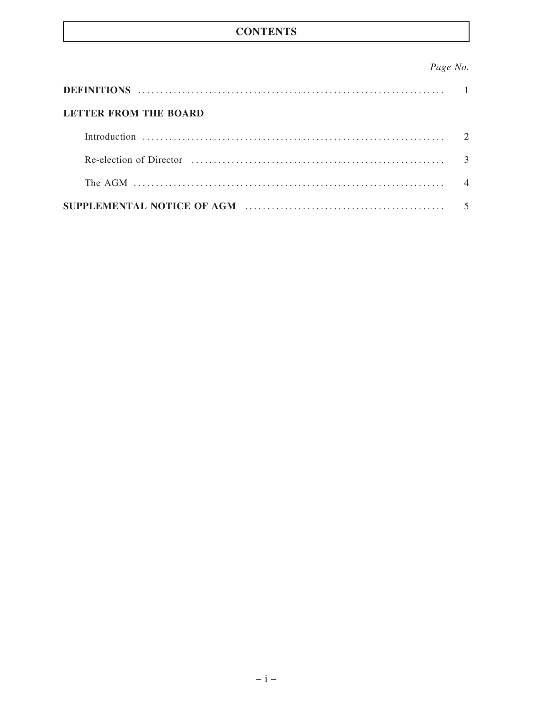## **CONTENTS**

## Page No.

| LETTER FROM THE BOARD                                                                                                                 |  |
|---------------------------------------------------------------------------------------------------------------------------------------|--|
|                                                                                                                                       |  |
|                                                                                                                                       |  |
| The AGM $\ldots$ $\ldots$ $\ldots$ $\ldots$ $\ldots$ $\ldots$ $\ldots$ $\ldots$ $\ldots$ $\ldots$ $\ldots$ $\ldots$ $\ldots$ $\ldots$ |  |
|                                                                                                                                       |  |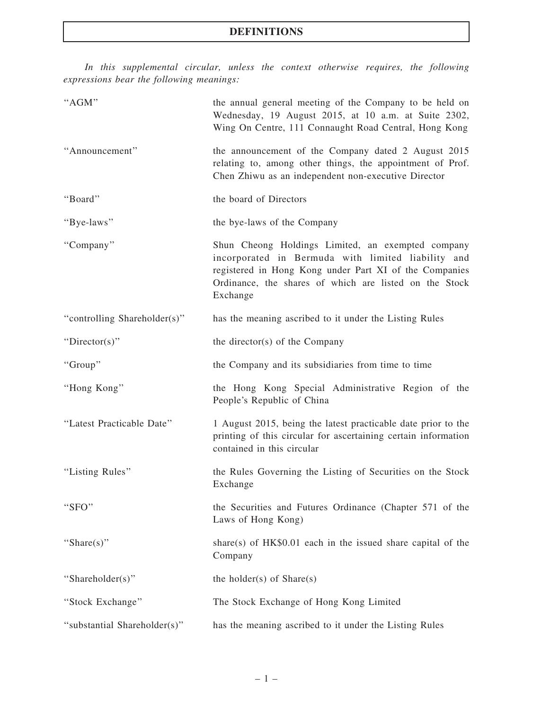In this supplemental circular, unless the context otherwise requires, the following expressions bear the following meanings:

| "AGM"                        | the annual general meeting of the Company to be held on<br>Wednesday, 19 August 2015, at 10 a.m. at Suite 2302,<br>Wing On Centre, 111 Connaught Road Central, Hong Kong                                                                |
|------------------------------|-----------------------------------------------------------------------------------------------------------------------------------------------------------------------------------------------------------------------------------------|
| "Announcement"               | the announcement of the Company dated 2 August 2015<br>relating to, among other things, the appointment of Prof.<br>Chen Zhiwu as an independent non-executive Director                                                                 |
| "Board"                      | the board of Directors                                                                                                                                                                                                                  |
| "Bye-laws"                   | the bye-laws of the Company                                                                                                                                                                                                             |
| "Company"                    | Shun Cheong Holdings Limited, an exempted company<br>incorporated in Bermuda with limited liability and<br>registered in Hong Kong under Part XI of the Companies<br>Ordinance, the shares of which are listed on the Stock<br>Exchange |
| "controlling Shareholder(s)" | has the meaning ascribed to it under the Listing Rules                                                                                                                                                                                  |
| "Director(s)"                | the director(s) of the Company                                                                                                                                                                                                          |
| "Group"                      | the Company and its subsidiaries from time to time                                                                                                                                                                                      |
| "Hong Kong"                  | the Hong Kong Special Administrative Region of the<br>People's Republic of China                                                                                                                                                        |
| "Latest Practicable Date"    | 1 August 2015, being the latest practicable date prior to the<br>printing of this circular for ascertaining certain information<br>contained in this circular                                                                           |
| "Listing Rules"              | the Rules Governing the Listing of Securities on the Stock<br>Exchange                                                                                                                                                                  |
| "SFO"                        | the Securities and Futures Ordinance (Chapter 571 of the<br>Laws of Hong Kong)                                                                                                                                                          |
| "Share(s)"                   | share(s) of $HK$0.01$ each in the issued share capital of the<br>Company                                                                                                                                                                |
| "Shareholder(s)"             | the holder(s) of $Share(s)$                                                                                                                                                                                                             |
| "Stock Exchange"             | The Stock Exchange of Hong Kong Limited                                                                                                                                                                                                 |
| "substantial Shareholder(s)" | has the meaning ascribed to it under the Listing Rules                                                                                                                                                                                  |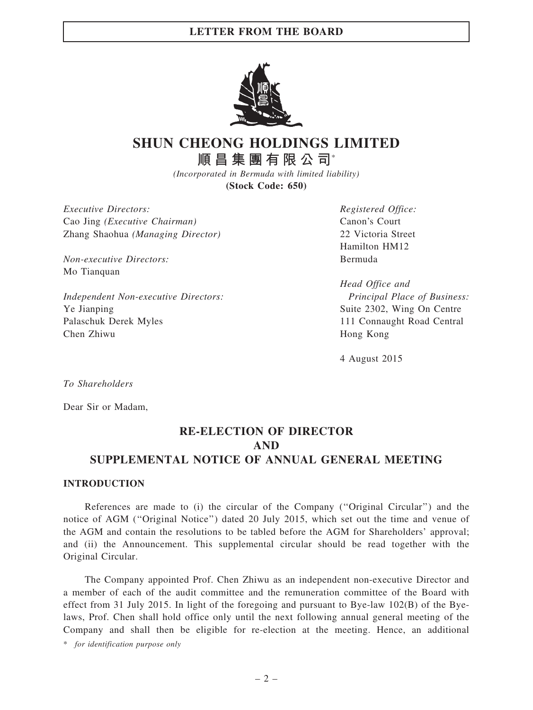#### LETTER FROM THE BOARD



# SHUN CHEONG HOLDINGS LIMITED 順昌集團有限公司\*

(Incorporated in Bermuda with limited liability) (Stock Code: 650)

Executive Directors: Cao Jing (Executive Chairman) Zhang Shaohua (Managing Director)

Non-executive Directors: Mo Tianquan

Independent Non-executive Directors: Ye Jianping Palaschuk Derek Myles Chen Zhiwu

Registered Office: Canon's Court 22 Victoria Street Hamilton HM12 Bermuda

Head Office and Principal Place of Business: Suite 2302, Wing On Centre 111 Connaught Road Central Hong Kong

4 August 2015

To Shareholders

Dear Sir or Madam,

## RE-ELECTION OF DIRECTOR AND SUPPLEMENTAL NOTICE OF ANNUAL GENERAL MEETING

#### INTRODUCTION

References are made to (i) the circular of the Company (''Original Circular'') and the notice of AGM (''Original Notice'') dated 20 July 2015, which set out the time and venue of the AGM and contain the resolutions to be tabled before the AGM for Shareholders' approval; and (ii) the Announcement. This supplemental circular should be read together with the Original Circular.

The Company appointed Prof. Chen Zhiwu as an independent non-executive Director and a member of each of the audit committee and the remuneration committee of the Board with effect from 31 July 2015. In light of the foregoing and pursuant to Bye-law 102(B) of the Byelaws, Prof. Chen shall hold office only until the next following annual general meeting of the Company and shall then be eligible for re-election at the meeting. Hence, an additional

\* for identification purpose only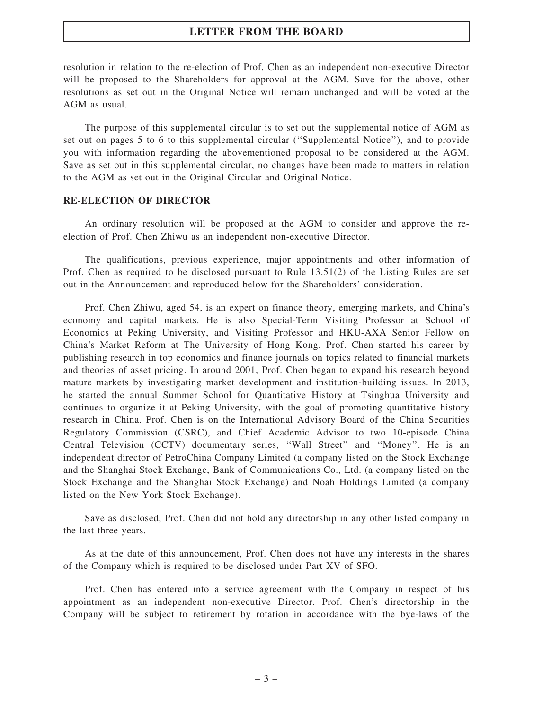#### LETTER FROM THE BOARD

resolution in relation to the re-election of Prof. Chen as an independent non-executive Director will be proposed to the Shareholders for approval at the AGM. Save for the above, other resolutions as set out in the Original Notice will remain unchanged and will be voted at the AGM as usual.

The purpose of this supplemental circular is to set out the supplemental notice of AGM as set out on pages 5 to 6 to this supplemental circular (''Supplemental Notice''), and to provide you with information regarding the abovementioned proposal to be considered at the AGM. Save as set out in this supplemental circular, no changes have been made to matters in relation to the AGM as set out in the Original Circular and Original Notice.

#### RE-ELECTION OF DIRECTOR

An ordinary resolution will be proposed at the AGM to consider and approve the reelection of Prof. Chen Zhiwu as an independent non-executive Director.

The qualifications, previous experience, major appointments and other information of Prof. Chen as required to be disclosed pursuant to Rule 13.51(2) of the Listing Rules are set out in the Announcement and reproduced below for the Shareholders' consideration.

Prof. Chen Zhiwu, aged 54, is an expert on finance theory, emerging markets, and China's economy and capital markets. He is also Special-Term Visiting Professor at School of Economics at Peking University, and Visiting Professor and HKU-AXA Senior Fellow on China's Market Reform at The University of Hong Kong. Prof. Chen started his career by publishing research in top economics and finance journals on topics related to financial markets and theories of asset pricing. In around 2001, Prof. Chen began to expand his research beyond mature markets by investigating market development and institution-building issues. In 2013, he started the annual Summer School for Quantitative History at Tsinghua University and continues to organize it at Peking University, with the goal of promoting quantitative history research in China. Prof. Chen is on the International Advisory Board of the China Securities Regulatory Commission (CSRC), and Chief Academic Advisor to two 10-episode China Central Television (CCTV) documentary series, ''Wall Street'' and ''Money''. He is an independent director of PetroChina Company Limited (a company listed on the Stock Exchange and the Shanghai Stock Exchange, Bank of Communications Co., Ltd. (a company listed on the Stock Exchange and the Shanghai Stock Exchange) and Noah Holdings Limited (a company listed on the New York Stock Exchange).

Save as disclosed, Prof. Chen did not hold any directorship in any other listed company in the last three years.

As at the date of this announcement, Prof. Chen does not have any interests in the shares of the Company which is required to be disclosed under Part XV of SFO.

Prof. Chen has entered into a service agreement with the Company in respect of his appointment as an independent non-executive Director. Prof. Chen's directorship in the Company will be subject to retirement by rotation in accordance with the bye-laws of the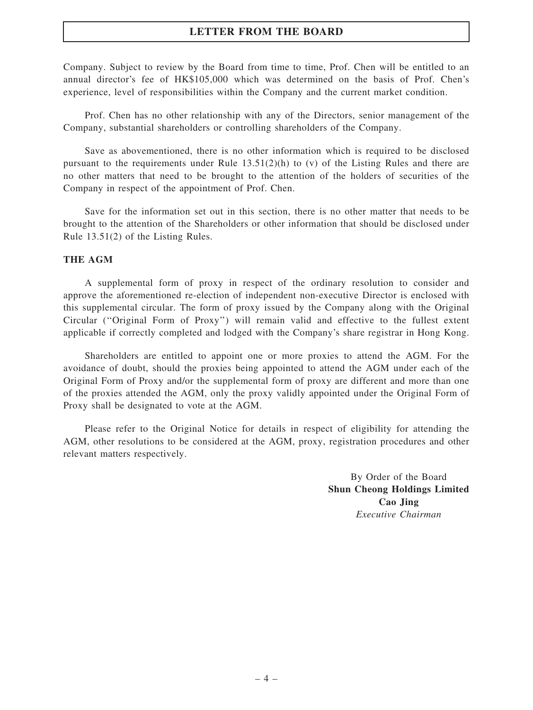#### LETTER FROM THE BOARD

Company. Subject to review by the Board from time to time, Prof. Chen will be entitled to an annual director's fee of HK\$105,000 which was determined on the basis of Prof. Chen's experience, level of responsibilities within the Company and the current market condition.

Prof. Chen has no other relationship with any of the Directors, senior management of the Company, substantial shareholders or controlling shareholders of the Company.

Save as abovementioned, there is no other information which is required to be disclosed pursuant to the requirements under Rule  $13.51(2)(h)$  to (v) of the Listing Rules and there are no other matters that need to be brought to the attention of the holders of securities of the Company in respect of the appointment of Prof. Chen.

Save for the information set out in this section, there is no other matter that needs to be brought to the attention of the Shareholders or other information that should be disclosed under Rule 13.51(2) of the Listing Rules.

#### THE AGM

A supplemental form of proxy in respect of the ordinary resolution to consider and approve the aforementioned re-election of independent non-executive Director is enclosed with this supplemental circular. The form of proxy issued by the Company along with the Original Circular (''Original Form of Proxy'') will remain valid and effective to the fullest extent applicable if correctly completed and lodged with the Company's share registrar in Hong Kong.

Shareholders are entitled to appoint one or more proxies to attend the AGM. For the avoidance of doubt, should the proxies being appointed to attend the AGM under each of the Original Form of Proxy and/or the supplemental form of proxy are different and more than one of the proxies attended the AGM, only the proxy validly appointed under the Original Form of Proxy shall be designated to vote at the AGM.

Please refer to the Original Notice for details in respect of eligibility for attending the AGM, other resolutions to be considered at the AGM, proxy, registration procedures and other relevant matters respectively.

> By Order of the Board Shun Cheong Holdings Limited Cao Jing Executive Chairman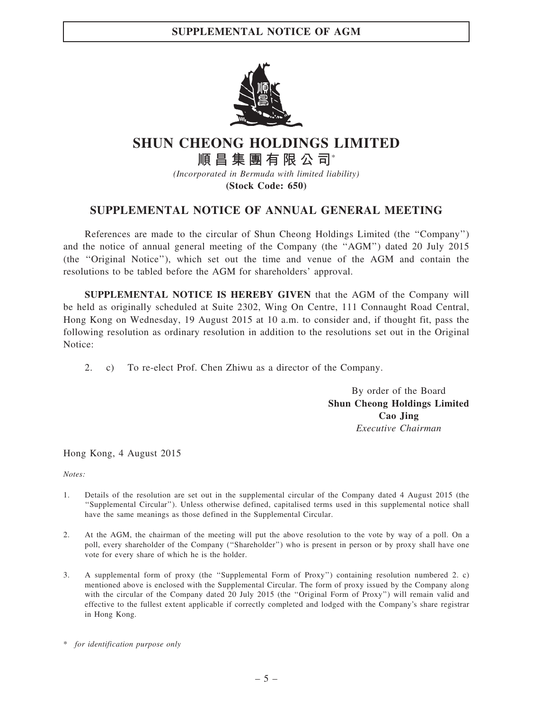

# SHUN CHEONG HOLDINGS LIMITED

順昌集團有限公司\* (Incorporated in Bermuda with limited liability)

(Stock Code: 650)

#### SUPPLEMENTAL NOTICE OF ANNUAL GENERAL MEETING

References are made to the circular of Shun Cheong Holdings Limited (the ''Company'') and the notice of annual general meeting of the Company (the ''AGM'') dated 20 July 2015 (the ''Original Notice''), which set out the time and venue of the AGM and contain the resolutions to be tabled before the AGM for shareholders' approval.

SUPPLEMENTAL NOTICE IS HEREBY GIVEN that the AGM of the Company will be held as originally scheduled at Suite 2302, Wing On Centre, 111 Connaught Road Central, Hong Kong on Wednesday, 19 August 2015 at 10 a.m. to consider and, if thought fit, pass the following resolution as ordinary resolution in addition to the resolutions set out in the Original Notice:

2. c) To re-elect Prof. Chen Zhiwu as a director of the Company.

By order of the Board Shun Cheong Holdings Limited Cao Jing Executive Chairman

Hong Kong, 4 August 2015

Notes:

- 1. Details of the resolution are set out in the supplemental circular of the Company dated 4 August 2015 (the ''Supplemental Circular''). Unless otherwise defined, capitalised terms used in this supplemental notice shall have the same meanings as those defined in the Supplemental Circular.
- 2. At the AGM, the chairman of the meeting will put the above resolution to the vote by way of a poll. On a poll, every shareholder of the Company (''Shareholder'') who is present in person or by proxy shall have one vote for every share of which he is the holder.
- 3. A supplemental form of proxy (the ''Supplemental Form of Proxy'') containing resolution numbered 2. c) mentioned above is enclosed with the Supplemental Circular. The form of proxy issued by the Company along with the circular of the Company dated 20 July 2015 (the "Original Form of Proxy") will remain valid and effective to the fullest extent applicable if correctly completed and lodged with the Company's share registrar in Hong Kong.

<sup>\*</sup> for identification purpose only